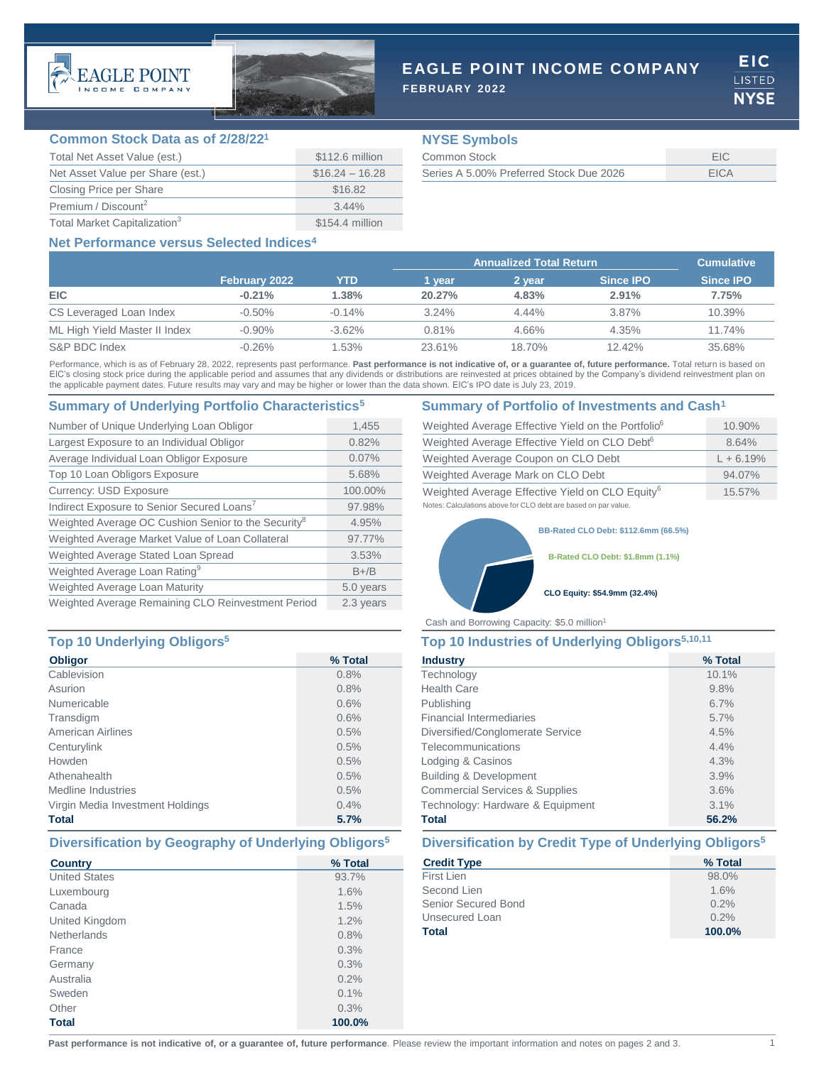



## **EAGLE POINT INCOME COMPANY**

**FEBRUARY 2022**

EIC. **LISTED NYSE** 

## **Common Stock Data as of 2/28/22<sup>1</sup>**

| Total Net Asset Value (est.)             | \$112.6 million  |
|------------------------------------------|------------------|
| Net Asset Value per Share (est.)         | $$16.24 - 16.28$ |
| Closing Price per Share                  | \$16.82          |
| Premium / Discount <sup>2</sup>          | $3.44\%$         |
| Total Market Capitalization <sup>3</sup> | \$154.4 million  |

## **NYSE Symbols**

| Common Stock                            |      |
|-----------------------------------------|------|
| Series A 5.00% Preferred Stock Due 2026 | FICA |

## **Net Performance versus Selected Indices4**

|                               |                      |           | <b>Annualized Total Return</b> |          |                  | <b>Cumulative</b> |
|-------------------------------|----------------------|-----------|--------------------------------|----------|------------------|-------------------|
|                               | <b>February 2022</b> | YTD       | l vear                         | 2 vear   | <b>Since IPO</b> | <b>Since IPO</b>  |
| <b>EIC</b>                    | $-0.21%$             | 1.38%     | 20.27%                         | 4.83%    | 2.91%            | 7.75%             |
| CS Leveraged Loan Index       | $-0.50\%$            | $-0.14%$  | 3.24%                          | $4.44\%$ | $3.87\%$         | 10.39%            |
| ML High Yield Master II Index | $-0.90\%$            | $-3.62\%$ | 0.81%                          | 4.66%    | 4.35%            | 11.74%            |
| S&P BDC Index                 | $-0.26%$             | .53%      | 23.61%                         | 18.70%   | 12.42%           | 35.68%            |

Performance, which is as of February 28, 2022, represents past performance. Past performance is not indicative of, or a guarantee of, future performance. Total return is based on EIC's closing stock price during the applicable period and assumes that any dividends or distributions are reinvested at prices obtained by the Company's dividend reinvestment plan on the applicable payment dates. Future results may vary and may be higher or lower than the data shown. EIC's IPO date is July 23, 2019.

## **Summary of Underlying Portfolio Characteristics<sup>5</sup> Summary of Portfolio of Investments and Cash<sup>1</sup>**

| Number of Unique Underlying Loan Obligor                        | 1,455     |
|-----------------------------------------------------------------|-----------|
| Largest Exposure to an Individual Obligor                       | 0.82%     |
| Average Individual Loan Obligor Exposure                        | 0.07%     |
| Top 10 Loan Obligors Exposure                                   | 5.68%     |
| <b>Currency: USD Exposure</b>                                   | 100.00%   |
| Indirect Exposure to Senior Secured Loans <sup>7</sup>          | 97.98%    |
| Weighted Average OC Cushion Senior to the Security <sup>8</sup> | 4.95%     |
| Weighted Average Market Value of Loan Collateral                | 97.77%    |
| Weighted Average Stated Loan Spread                             | 3.53%     |
| Weighted Average Loan Rating <sup>9</sup>                       | $B+/B$    |
| Weighted Average Loan Maturity                                  | 5.0 years |
| Weighted Average Remaining CLO Reinvestment Period              | 2.3 years |

## **Top 10 Underlying Obligors<sup>5</sup> Top 10 Industries of Underlying Obligors5,10,11**

| <b>Obligor</b>                   | % Total |
|----------------------------------|---------|
| Cablevision                      | 0.8%    |
| Asurion                          | 0.8%    |
| Numericable                      | 0.6%    |
| Transdigm                        | 0.6%    |
| <b>American Airlines</b>         | 0.5%    |
| Centurylink                      | 0.5%    |
| Howden                           | 0.5%    |
| Athenahealth                     | 0.5%    |
| Medline Industries               | 0.5%    |
| Virgin Media Investment Holdings | 0.4%    |
| <b>Total</b>                     | 5.7%    |

| <b>Country</b>       | % Total |
|----------------------|---------|
| <b>United States</b> | 93.7%   |
| Luxembourg           | 1.6%    |
| Canada               | 1.5%    |
| United Kingdom       | 1.2%    |
| <b>Netherlands</b>   | 0.8%    |
| France               | 0.3%    |
| Germany              | 0.3%    |
| Australia            | 0.2%    |
| Sweden               | 0.1%    |
| Other                | 0.3%    |
| <b>Total</b>         | 100.0%  |

| Weighted Average Effective Yield on the Portfolio <sup>6</sup> | 10.90%      |
|----------------------------------------------------------------|-------------|
| Weighted Average Effective Yield on CLO Debt <sup>6</sup>      | 8.64%       |
| Weighted Average Coupon on CLO Debt                            | $L + 6.19%$ |
| Weighted Average Mark on CLO Debt                              | 94.07%      |
| Weighted Average Effective Yield on CLO Equity <sup>6</sup>    | $15.57\%$   |
| Notes: Calculations above for CLO debt are based on par value. |             |

**BB-Rated CLO Debt: \$112.6mm (66.5%)**

**B-Rated CLO Debt: \$1.8mm (1.1%)**

### **CLO Equity: \$54.9mm (32.4%)**

Cash and Borrowing Capacity: \$5.0 million<sup>1</sup>

| <b>Industry</b>                           | % Total |  |  |
|-------------------------------------------|---------|--|--|
| Technology                                | 10.1%   |  |  |
| <b>Health Care</b>                        | 9.8%    |  |  |
| Publishing                                | 6.7%    |  |  |
| <b>Financial Intermediaries</b>           | 5.7%    |  |  |
| Diversified/Conglomerate Service          | 4.5%    |  |  |
| Telecommunications                        | 4.4%    |  |  |
| Lodging & Casinos                         | 4.3%    |  |  |
| <b>Building &amp; Development</b>         | 3.9%    |  |  |
| <b>Commercial Services &amp; Supplies</b> | 3.6%    |  |  |
| Technology: Hardware & Equipment          | 3.1%    |  |  |
| <b>Total</b>                              | 56.2%   |  |  |

## **Diversification by Geography of Underlying Obligors<sup>5</sup> Diversification by Credit Type of Underlying Obligors<sup>5</sup>**

| % Total |
|---------|
| 98.0%   |
| 1.6%    |
| 0.2%    |
| 0.2%    |
| 100.0%  |
|         |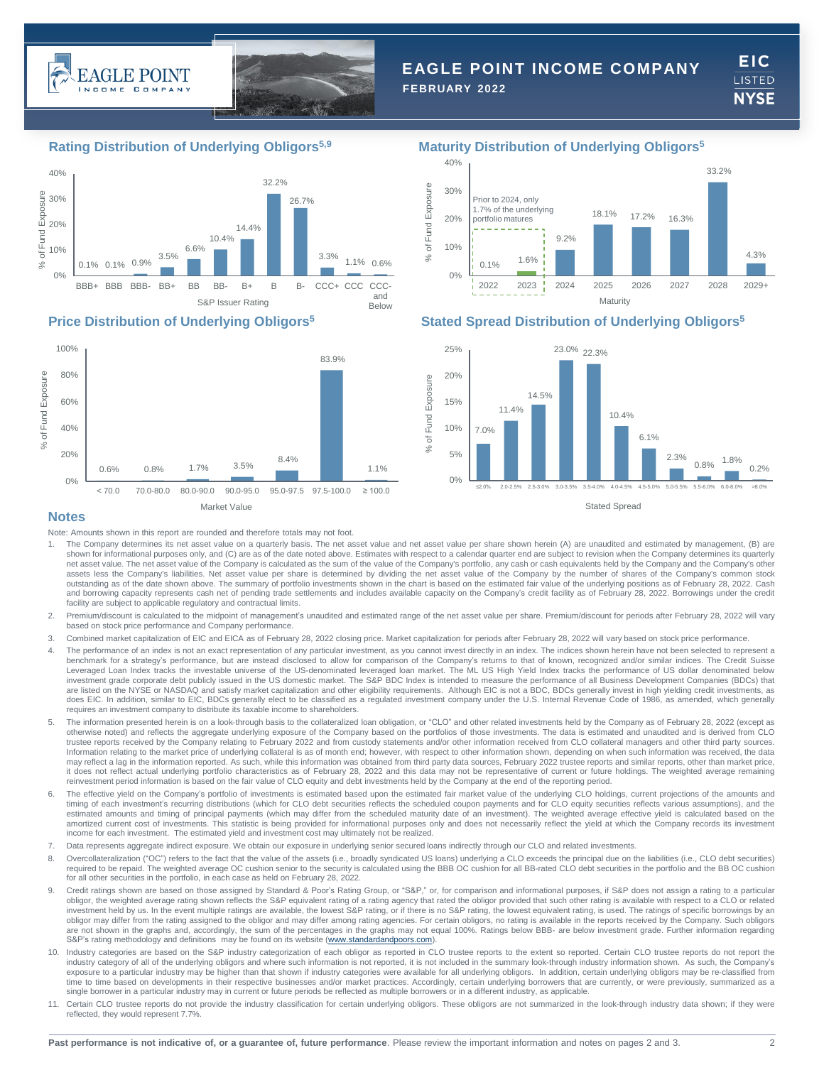



# **EAGLE POINT INCOME COMPANY**

**FEBRUARY 2022**

**EIC** LISTED **NYSE** 





## **Rating Distribution of Underlying Obligors5,9 Maturity Distribution of Underlying Obligors<sup>5</sup>**



## **Price Distribution of Underlying Obligors<sup>5</sup> Stated Spread Distribution of Underlying Obligors<sup>5</sup>**



## **Notes**

Note: Amounts shown in this report are rounded and therefore totals may not foot.

- 1. The Company determines its net asset value on a quarterly basis. The net asset value and net asset value per share shown herein (A) are unaudited and estimated by management, (B) are shown for informational purposes only, and (C) are as of the date noted above. Estimates with respect to a calendar quarter end are subject to revision when the Company determines its quarterly net asset value. The net asset value of the Company is calculated as the sum of the value of the Company's portfolio, any cash or cash equivalents held by the Company and the Company's other assets less the Company's liabilities. Net asset value per share is determined by dividing the net asset value of the Company by the number of shares of the Company's common stock outstanding as of the date shown above. The summary of portfolio investments shown in the chart is based on the estimated fair value of the underlying positions as of February 28, 2022. Cash<br>and borrowing capacity represen facility are subject to applicable regulatory and contractual limits.
- 2. Premium/discount is calculated to the midpoint of management's unaudited and estimated range of the net asset value per share. Premium/discount for periods after February 28, 2022 will vary based on stock price performance and Company performance.
- 3. Combined market capitalization of EIC and EICA as of February 28, 2022 closing price. Market capitalization for periods after February 28, 2022 will vary based on stock price performance.
- 4. The performance of an index is not an exact representation of any particular investment, as you cannot invest directly in an index. The indices shown herein have not been selected to represent a benchmark for a strategy's performance, but are instead disclosed to allow for comparison of the Company's returns to that of known, recognized and/or similar indices. The Credit Suisse Leveraged Loan Index tracks the investable universe of the US-denominated leveraged loan market. The ML US High Yield Index tracks the performance of US dollar denominated below<br>investment grade corporate debt publicly iss are listed on the NYSE or NASDAQ and satisfy market capitalization and other eligibility requirements. Although EIC is not a BDC, BDCs generally invest in high yielding credit investments, as does EIC. In addition, similar to EIC, BDCs generally elect to be classified as a regulated investment company under the U.S. Internal Revenue Code of 1986, as amended, which generally requires an investment company to distribute its taxable income to shareholders.
- 5. The information presented herein is on a look-through basis to the collateralized loan obligation, or "CLO" and other related investments held by the Company as of February 28, 2022 (except as otherwise noted) and reflects the aggregate underlying exposure of the Company based on the portfolios of those investments. The data is estimated and unaudited and is derived from CLO trustee reports received by the Company relating to February 2022 and from custody statements and/or other information received from CLO collateral managers and other third party sources. Information relating to the market price of underlying collateral is as of month end; however, with respect to other information shown, depending on when such information was received, the data may reflect a lag in the information reported. As such, while this information was obtained from third party data sources, February 2022 trustee reports and similar reports, other than market price, it does not reflect actual underlying portfolio characteristics as of February 28, 2022 and this data may not be representative of current or future holdings. The weighted average remaining reinvestment period information is based on the fair value of CLO equity and debt investments held by the Company at the end of the reporting period.
- 6. The effective yield on the Company's portfolio of investments is estimated based upon the estimated fair market value of the underlying CLO holdings, current projections of the amounts and timing of each investment's recurring distributions (which for CLO debt securities reflects the scheduled coupon payments and for CLO equity securities reflects various assumptions), and the estimated amounts and timing of principal payments (which may differ from the scheduled maturity date of an investment). The weighted average effective yield is calculated based on the amortized current cost of investments. This statistic is being provided for informational purposes only and does not necessarily reflect the yield at which the Company records its investment income for each investment. The estimated yield and investment cost may ultimately not be realized.
- 7. Data represents aggregate indirect exposure. We obtain our exposure in underlying senior secured loans indirectly through our CLO and related investments.
- 8. Overcollateralization ("OC") refers to the fact that the value of the assets (i.e., broadly syndicated US loans) underlying a CLO exceeds the principal due on the liabilities (i.e., CLO debt securities) required to be repaid. The weighted average OC cushion senior to the security is calculated using the BBB OC cushion for all BB-rated CLO debt securities in the portfolio and the BB OC cushion for all other securities in the portfolio, in each case as held on February 28, 2022.
- Credit ratings shown are based on those assigned by Standard & Poor's Rating Group, or "S&P," or, for comparison and informational purposes, if S&P does not assign a rating to a particular obligor, the weighted average rating shown reflects the S&P equivalent rating of a rating agency that rated the obligor provided that such other rating is available with respect to a CLO or related investment held by us. In the event multiple ratings are available, the lowest S&P rating, or if there is no S&P rating, the lowest equivalent rating, is used. The ratings of specific borrowings by an<br>obligor may differ fr are not shown in the graphs and, accordingly, the sum of the percentages in the graphs may not equal 100%. Ratings below BBB- are below investment grade. Further information regarding S&P's rating methodology and definitions may be found on its website ([www.standardandpoors.com](http://www.standardandpoors.com/)).
- 10. Industry categories are based on the S&P industry categorization of each obligor as reported in CLO trustee reports to the extent so reported. Certain CLO trustee reports do not report the industry category of all of the underlying obligors and where such information is not reported, it is not included in the summary look-through industry information shown. As such, the Company's exposure to a particular industry may be higher than that shown if industry categories were available for all underlying obligors. In addition, certain underlying obligors may be re-classified from time to time based on developments in their respective businesses and/or market practices. Accordingly, certain underlying borrowers that are currently, or were previously, summarized as a single borrower in a particular industry may in current or future periods be reflected as multiple borrowers or in a different industry, as applicable.
- Certain CLO trustee reports do not provide the industry classification for certain underlying obligors. These obligors are not summarized in the look-through industry data shown; if they were reflected, they would represent 7.7%.